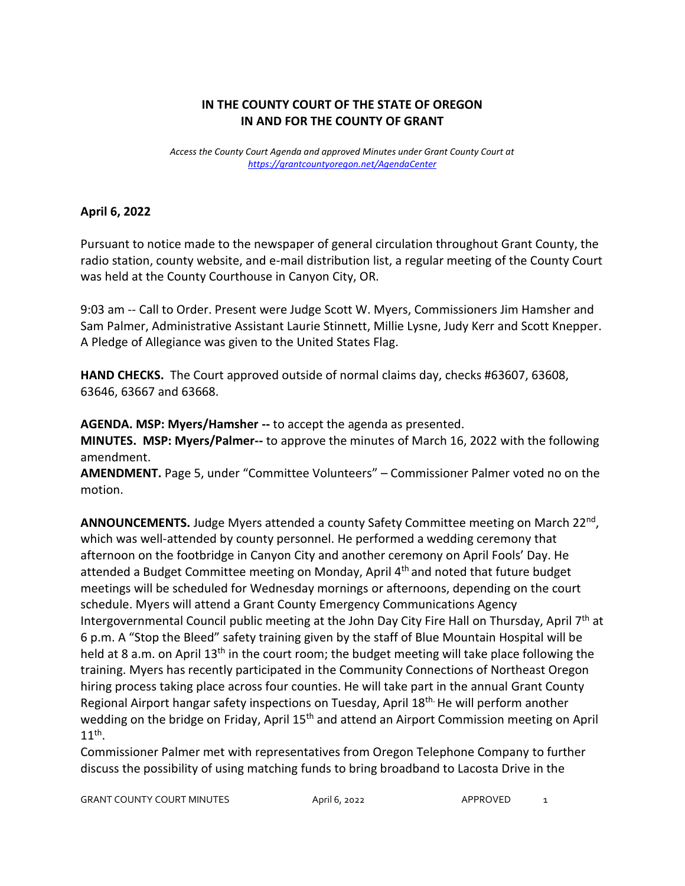## **IN THE COUNTY COURT OF THE STATE OF OREGON IN AND FOR THE COUNTY OF GRANT**

*Access the County Court Agenda and approved Minutes under Grant County Court at <https://grantcountyoregon.net/AgendaCenter>*

## **April 6, 2022**

Pursuant to notice made to the newspaper of general circulation throughout Grant County, the radio station, county website, and e-mail distribution list, a regular meeting of the County Court was held at the County Courthouse in Canyon City, OR.

9:03 am -- Call to Order. Present were Judge Scott W. Myers, Commissioners Jim Hamsher and Sam Palmer, Administrative Assistant Laurie Stinnett, Millie Lysne, Judy Kerr and Scott Knepper. A Pledge of Allegiance was given to the United States Flag.

**HAND CHECKS.** The Court approved outside of normal claims day, checks #63607, 63608, 63646, 63667 and 63668.

**AGENDA. MSP: Myers/Hamsher --** to accept the agenda as presented.

**MINUTES. MSP: Myers/Palmer--** to approve the minutes of March 16, 2022 with the following amendment.

**AMENDMENT.** Page 5, under "Committee Volunteers" – Commissioner Palmer voted no on the motion.

ANNOUNCEMENTS. Judge Myers attended a county Safety Committee meeting on March 22<sup>nd</sup>, which was well-attended by county personnel. He performed a wedding ceremony that afternoon on the footbridge in Canyon City and another ceremony on April Fools' Day. He attended a Budget Committee meeting on Monday, April 4<sup>th</sup> and noted that future budget meetings will be scheduled for Wednesday mornings or afternoons, depending on the court schedule. Myers will attend a Grant County Emergency Communications Agency Intergovernmental Council public meeting at the John Day City Fire Hall on Thursday, April 7<sup>th</sup> at 6 p.m. A "Stop the Bleed" safety training given by the staff of Blue Mountain Hospital will be held at 8 a.m. on April 13<sup>th</sup> in the court room; the budget meeting will take place following the training. Myers has recently participated in the Community Connections of Northeast Oregon hiring process taking place across four counties. He will take part in the annual Grant County Regional Airport hangar safety inspections on Tuesday, April 18th. He will perform another wedding on the bridge on Friday, April 15<sup>th</sup> and attend an Airport Commission meeting on April  $11^{\text{th}}$ .

Commissioner Palmer met with representatives from Oregon Telephone Company to further discuss the possibility of using matching funds to bring broadband to Lacosta Drive in the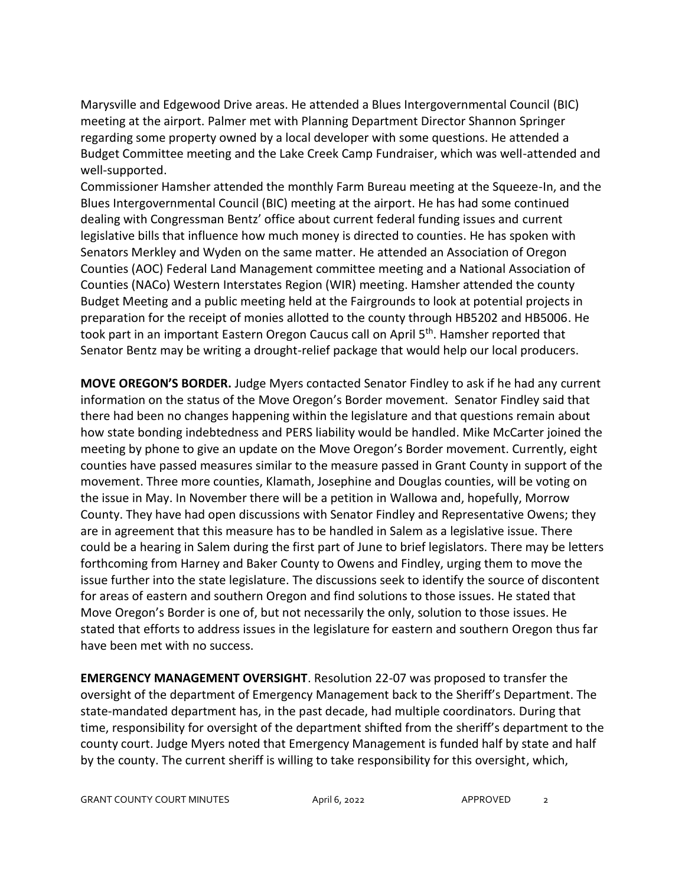Marysville and Edgewood Drive areas. He attended a Blues Intergovernmental Council (BIC) meeting at the airport. Palmer met with Planning Department Director Shannon Springer regarding some property owned by a local developer with some questions. He attended a Budget Committee meeting and the Lake Creek Camp Fundraiser, which was well-attended and well-supported.

Commissioner Hamsher attended the monthly Farm Bureau meeting at the Squeeze-In, and the Blues Intergovernmental Council (BIC) meeting at the airport. He has had some continued dealing with Congressman Bentz' office about current federal funding issues and current legislative bills that influence how much money is directed to counties. He has spoken with Senators Merkley and Wyden on the same matter. He attended an Association of Oregon Counties (AOC) Federal Land Management committee meeting and a National Association of Counties (NACo) Western Interstates Region (WIR) meeting. Hamsher attended the county Budget Meeting and a public meeting held at the Fairgrounds to look at potential projects in preparation for the receipt of monies allotted to the county through HB5202 and HB5006. He took part in an important Eastern Oregon Caucus call on April 5<sup>th</sup>. Hamsher reported that Senator Bentz may be writing a drought-relief package that would help our local producers.

**MOVE OREGON'S BORDER.** Judge Myers contacted Senator Findley to ask if he had any current information on the status of the Move Oregon's Border movement. Senator Findley said that there had been no changes happening within the legislature and that questions remain about how state bonding indebtedness and PERS liability would be handled. Mike McCarter joined the meeting by phone to give an update on the Move Oregon's Border movement. Currently, eight counties have passed measures similar to the measure passed in Grant County in support of the movement. Three more counties, Klamath, Josephine and Douglas counties, will be voting on the issue in May. In November there will be a petition in Wallowa and, hopefully, Morrow County. They have had open discussions with Senator Findley and Representative Owens; they are in agreement that this measure has to be handled in Salem as a legislative issue. There could be a hearing in Salem during the first part of June to brief legislators. There may be letters forthcoming from Harney and Baker County to Owens and Findley, urging them to move the issue further into the state legislature. The discussions seek to identify the source of discontent for areas of eastern and southern Oregon and find solutions to those issues. He stated that Move Oregon's Border is one of, but not necessarily the only, solution to those issues. He stated that efforts to address issues in the legislature for eastern and southern Oregon thus far have been met with no success.

**EMERGENCY MANAGEMENT OVERSIGHT**. Resolution 22-07 was proposed to transfer the oversight of the department of Emergency Management back to the Sheriff's Department. The state-mandated department has, in the past decade, had multiple coordinators. During that time, responsibility for oversight of the department shifted from the sheriff's department to the county court. Judge Myers noted that Emergency Management is funded half by state and half by the county. The current sheriff is willing to take responsibility for this oversight, which,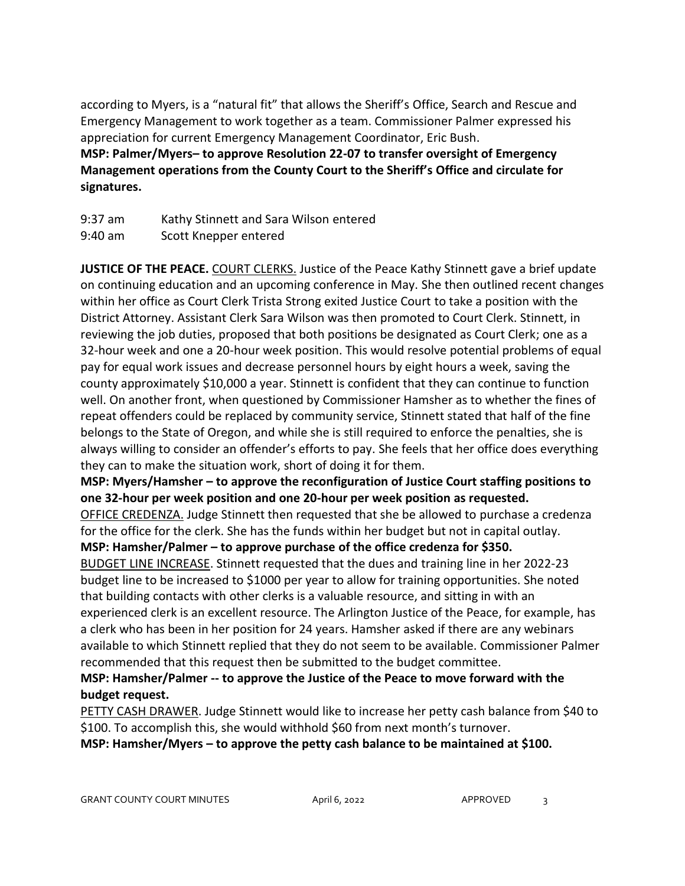according to Myers, is a "natural fit" that allows the Sheriff's Office, Search and Rescue and Emergency Management to work together as a team. Commissioner Palmer expressed his appreciation for current Emergency Management Coordinator, Eric Bush. **MSP: Palmer/Myers– to approve Resolution 22-07 to transfer oversight of Emergency Management operations from the County Court to the Sheriff's Office and circulate for** 

**signatures.** 

9:37 am Kathy Stinnett and Sara Wilson entered

9:40 am Scott Knepper entered

**JUSTICE OF THE PEACE.** COURT CLERKS. Justice of the Peace Kathy Stinnett gave a brief update on continuing education and an upcoming conference in May. She then outlined recent changes within her office as Court Clerk Trista Strong exited Justice Court to take a position with the District Attorney. Assistant Clerk Sara Wilson was then promoted to Court Clerk. Stinnett, in reviewing the job duties, proposed that both positions be designated as Court Clerk; one as a 32-hour week and one a 20-hour week position. This would resolve potential problems of equal pay for equal work issues and decrease personnel hours by eight hours a week, saving the county approximately \$10,000 a year. Stinnett is confident that they can continue to function well. On another front, when questioned by Commissioner Hamsher as to whether the fines of repeat offenders could be replaced by community service, Stinnett stated that half of the fine belongs to the State of Oregon, and while she is still required to enforce the penalties, she is always willing to consider an offender's efforts to pay. She feels that her office does everything they can to make the situation work, short of doing it for them.

**MSP: Myers/Hamsher – to approve the reconfiguration of Justice Court staffing positions to one 32-hour per week position and one 20-hour per week position as requested.** 

OFFICE CREDENZA. Judge Stinnett then requested that she be allowed to purchase a credenza for the office for the clerk. She has the funds within her budget but not in capital outlay.

**MSP: Hamsher/Palmer – to approve purchase of the office credenza for \$350.**

BUDGET LINE INCREASE. Stinnett requested that the dues and training line in her 2022-23 budget line to be increased to \$1000 per year to allow for training opportunities. She noted that building contacts with other clerks is a valuable resource, and sitting in with an experienced clerk is an excellent resource. The Arlington Justice of the Peace, for example, has a clerk who has been in her position for 24 years. Hamsher asked if there are any webinars available to which Stinnett replied that they do not seem to be available. Commissioner Palmer recommended that this request then be submitted to the budget committee.

## **MSP: Hamsher/Palmer -- to approve the Justice of the Peace to move forward with the budget request.**

PETTY CASH DRAWER. Judge Stinnett would like to increase her petty cash balance from \$40 to \$100. To accomplish this, she would withhold \$60 from next month's turnover.

**MSP: Hamsher/Myers – to approve the petty cash balance to be maintained at \$100.**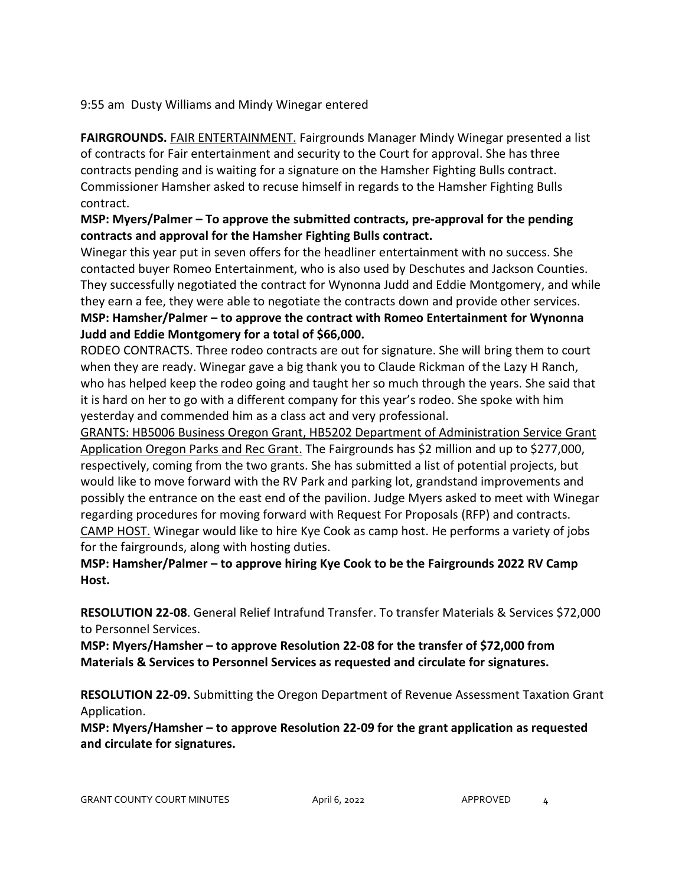9:55 am Dusty Williams and Mindy Winegar entered

**FAIRGROUNDS.** FAIR ENTERTAINMENT. Fairgrounds Manager Mindy Winegar presented a list of contracts for Fair entertainment and security to the Court for approval. She has three contracts pending and is waiting for a signature on the Hamsher Fighting Bulls contract. Commissioner Hamsher asked to recuse himself in regards to the Hamsher Fighting Bulls contract.

## **MSP: Myers/Palmer – To approve the submitted contracts, pre-approval for the pending contracts and approval for the Hamsher Fighting Bulls contract.**

Winegar this year put in seven offers for the headliner entertainment with no success. She contacted buyer Romeo Entertainment, who is also used by Deschutes and Jackson Counties. They successfully negotiated the contract for Wynonna Judd and Eddie Montgomery, and while they earn a fee, they were able to negotiate the contracts down and provide other services. **MSP: Hamsher/Palmer – to approve the contract with Romeo Entertainment for Wynonna Judd and Eddie Montgomery for a total of \$66,000.**

RODEO CONTRACTS. Three rodeo contracts are out for signature. She will bring them to court when they are ready. Winegar gave a big thank you to Claude Rickman of the Lazy H Ranch, who has helped keep the rodeo going and taught her so much through the years. She said that it is hard on her to go with a different company for this year's rodeo. She spoke with him yesterday and commended him as a class act and very professional.

GRANTS: HB5006 Business Oregon Grant, HB5202 Department of Administration Service Grant Application Oregon Parks and Rec Grant. The Fairgrounds has \$2 million and up to \$277,000, respectively, coming from the two grants. She has submitted a list of potential projects, but would like to move forward with the RV Park and parking lot, grandstand improvements and possibly the entrance on the east end of the pavilion. Judge Myers asked to meet with Winegar regarding procedures for moving forward with Request For Proposals (RFP) and contracts. CAMP HOST. Winegar would like to hire Kye Cook as camp host. He performs a variety of jobs for the fairgrounds, along with hosting duties.

**MSP: Hamsher/Palmer – to approve hiring Kye Cook to be the Fairgrounds 2022 RV Camp Host.** 

**RESOLUTION 22-08**. General Relief Intrafund Transfer. To transfer Materials & Services \$72,000 to Personnel Services.

**MSP: Myers/Hamsher – to approve Resolution 22-08 for the transfer of \$72,000 from Materials & Services to Personnel Services as requested and circulate for signatures.**

**RESOLUTION 22-09.** Submitting the Oregon Department of Revenue Assessment Taxation Grant Application.

**MSP: Myers/Hamsher – to approve Resolution 22-09 for the grant application as requested and circulate for signatures.**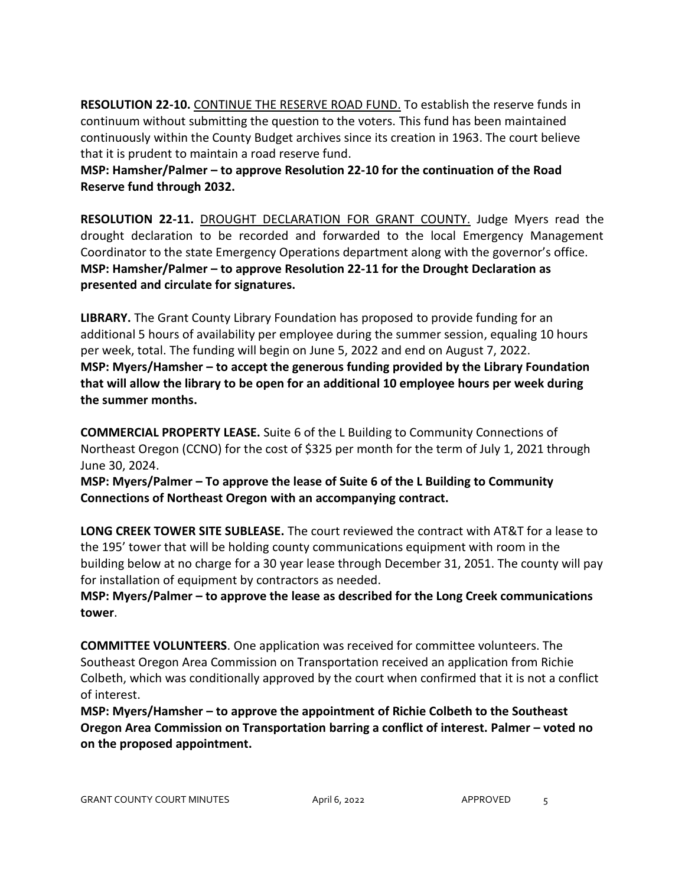**RESOLUTION 22-10.** CONTINUE THE RESERVE ROAD FUND. To establish the reserve funds in continuum without submitting the question to the voters. This fund has been maintained continuously within the County Budget archives since its creation in 1963. The court believe that it is prudent to maintain a road reserve fund.

**MSP: Hamsher/Palmer – to approve Resolution 22-10 for the continuation of the Road Reserve fund through 2032.** 

**RESOLUTION 22-11.** DROUGHT DECLARATION FOR GRANT COUNTY. Judge Myers read the drought declaration to be recorded and forwarded to the local Emergency Management Coordinator to the state Emergency Operations department along with the governor's office. **MSP: Hamsher/Palmer – to approve Resolution 22-11 for the Drought Declaration as presented and circulate for signatures.** 

**LIBRARY.** The Grant County Library Foundation has proposed to provide funding for an additional 5 hours of availability per employee during the summer session, equaling 10 hours per week, total. The funding will begin on June 5, 2022 and end on August 7, 2022. **MSP: Myers/Hamsher – to accept the generous funding provided by the Library Foundation that will allow the library to be open for an additional 10 employee hours per week during the summer months.** 

**COMMERCIAL PROPERTY LEASE.** Suite 6 of the L Building to Community Connections of Northeast Oregon (CCNO) for the cost of \$325 per month for the term of July 1, 2021 through June 30, 2024.

**MSP: Myers/Palmer – To approve the lease of Suite 6 of the L Building to Community Connections of Northeast Oregon with an accompanying contract.** 

**LONG CREEK TOWER SITE SUBLEASE.** The court reviewed the contract with AT&T for a lease to the 195' tower that will be holding county communications equipment with room in the building below at no charge for a 30 year lease through December 31, 2051. The county will pay for installation of equipment by contractors as needed.

**MSP: Myers/Palmer – to approve the lease as described for the Long Creek communications tower**.

**COMMITTEE VOLUNTEERS**. One application was received for committee volunteers. The Southeast Oregon Area Commission on Transportation received an application from Richie Colbeth, which was conditionally approved by the court when confirmed that it is not a conflict of interest.

**MSP: Myers/Hamsher – to approve the appointment of Richie Colbeth to the Southeast Oregon Area Commission on Transportation barring a conflict of interest. Palmer – voted no on the proposed appointment.**